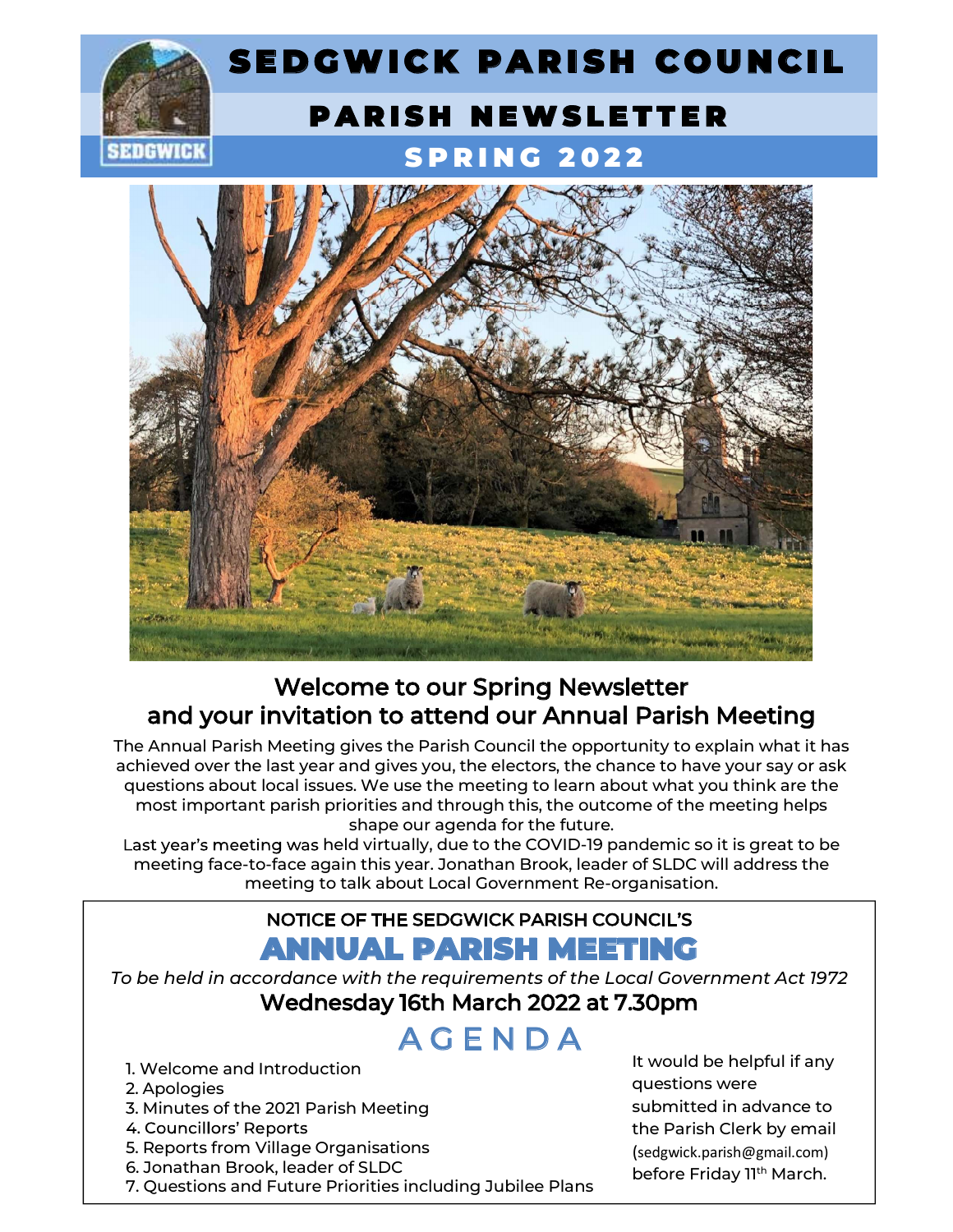



## Welcome to our Spring Newsletter and your invitation to attend our Annual Parish Meeting

The Annual Parish Meeting gives the Parish Council the opportunity to explain what it has Welcome to our Spring Newsletter<br>and your invitation to attend our Annual Parish Meeting<br>The Annual Parish Meeting gives the Parish Council the opportunity to explain what it has<br>achieved over the last year and gives you, Welcome to our Spring Newsletter<br>and your invitation to attend our Annual Parish Meeting<br>he Annual Parish Meeting issues. We parally concil the opportunity to explain what it has<br>questions about local issues. We use the me most important parish priorities and through this, the outcome of the meeting helps shape our agenda for the future. **come to our Spring Newsletter**<br>**tion to attend our Annual Parish Meeting**<br>g gives the Parish Council the opportunity to explain what it has<br>ar and gives you, the electors, the chance to have your say or ask<br>ues. We use th

meeting face-to-face again this year. Jonathan Brook, leader of SLDC will address the meeting to talk about Local Government Re-organisation.

### NOTICE OF THE SEDGWICK PARISH COUNCIL ANNUAL PARISH MEETING

To be held in accordance with the requirements of the Local Government Act 1972 Wednesday 16th March 2022 at 7.30pm NOTICE OF THE SEDGWICK PARISH<br>
2. be held in accordance with the requirements of the<br>
Wednesday 16th March 2022<br>
A G E N D A<br>
2. Apologies<br>
3. Minutes of the 2021 Parish Meeting<br>
4. Councillors' Reports<br>
5. Reports from Vi For the Priorities including Jubilee Plate<br>The Unit of School and Introduction<br>2. Apologies<br>3. Minutes of the 2021 Parish Meeting<br>4. Councillors' Reports<br>5. Reports from Village Organisations<br>6. Jonathan Brook, leader of S

# A G E N D A

- 1. Welcome and Introduction
- 2. Apologies
- 
- 
- 5. Reports from Village Organisations<br>6. Jonathan Brook, leader of SLDC
- 
- 

Wednesday 16th March 2022 at 7.30pm<br>
A G E N D A<br>
It would be the same introduction<br>
2. Apologies and Introduction<br>
3. Minutes of the 2021 Parish Meeting<br>
4. Councillors' Reports<br>
5. Reports from Village Organisations<br>
6. It would be helpful if any questions were submitted in advance to the Parish Clerk by email (sedgwick.parish@gmail.com) before Friday 11<sup>th</sup> March.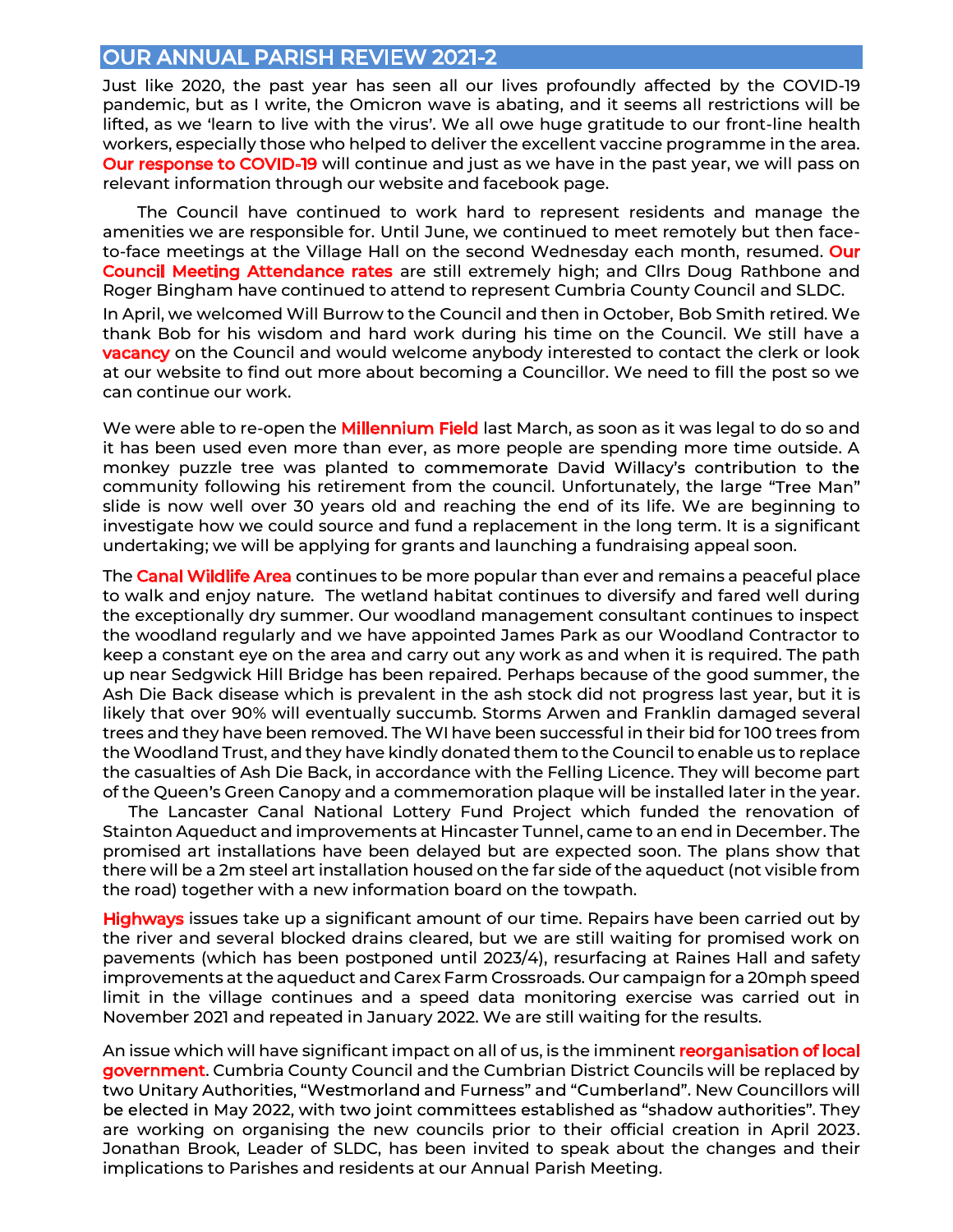### OUR ANNUAL PARISH REVIEW 2021-2

Just like 2020, the past year has seen all our lives profoundly affected by the COVID-19 pandemic, but as I write, the Omicron wave is abating, and it seems all restrictions will be lifted, as we 'learn to live with the virus'. We all owe huge gratitude to our front-line health workers, especially those who helped to deliver the excellent vaccine programme in the area. Our response to COVID-19 will continue and just as we have in the past year, we will pass on relevant information through our website and facebook page.

 The Council have continued to work hard to represent residents and manage the amenities we are responsible for. Until June, we continued to meet remotely but then faceto-face meetings at the Village Hall on the second Wednesday each month, resumed. Our Council Meeting Attendance rates are still extremely high; and Cllrs Doug Rathbone and Roger Bingham have continued to attend to represent Cumbria County Council and SLDC. In April, we welcomed Will Burrow to the Council and then in October, Bob Smith retired. We thank Bob for his wisdom and hard work during his time on the Council. We still have a **vacancy** on the Council and would welcome anybody interested to contact the clerk or look at our website to find out more about becoming a Councillor. We need to fill the post so we can continue our work.

We were able to re-open the **Millennium Field** last March, as soon as it was legal to do so and it has been used even more than ever, as more people are spending more time outside. A monkey puzzle tree was planted to commemorate David Willacy's contribution to the community following his retirement from the council. Unfortunately, the large slide is now well over 30 years old and reaching the end of its life. We are beginning to investigate how we could source and fund a replacement in the long term. It is a significant undertaking; we will be applying for grants and launching a fundraising appeal soon.

The **Canal Wildlife Area** continues to be more popular than ever and remains a peaceful place to walk and enjoy nature. The wetland habitat continues to diversify and fared well during the exceptionally dry summer. Our woodland management consultant continues to inspect the woodland regularly and we have appointed James Park as our Woodland Contractor to keep a constant eye on the area and carry out any work as and when it is required. The path up near Sedgwick Hill Bridge has been repaired. Perhaps because of the good summer, the Ash Die Back disease which is prevalent in the ash stock did not progress last year, but it is likely that over 90% will eventually succumb. Storms Arwen and Franklin damaged several trees and they have been removed. The WI have been successful in their bid for 100 trees from the Woodland Trust, and they have kindly donated them to the Council to enable us to replace the casualties of Ash Die Back, in accordance with the Felling Licence. They will become part of the Queen's Green Canopy and a commemoration plaque will be installed later in the year.

 The Lancaster Canal National Lottery Fund Project which funded the renovation of Stainton Aqueduct and improvements at Hincaster Tunnel, came to an end in December. The promised art installations have been delayed but are expected soon. The plans show that there will be a 2m steel art installation housed on the far side of the aqueduct (not visible from the road) together with a new information board on the towpath.

Highways issues take up a significant amount of our time. Repairs have been carried out by the river and several blocked drains cleared, but we are still waiting for promised work on pavements (which has been postponed until 2023/4), resurfacing at Raines Hall and safety improvements at the aqueduct and Carex Farm Crossroads. Our campaign for a 20mph speed limit in the village continues and a speed data monitoring exercise was carried out in November 2021 and repeated in January 2022. We are still waiting for the results.

An issue which will have significant impact on all of us, is the imminent reorganisation of local government. Cumbria County Council and the Cumbrian District Councils will be replaced by two Unitary Authorities, "Westmorland and Furness" and "Cumberland". New Councillors will be elected in May 2022, with two joint committees established as "shadow authorities". They are working on organising the new councils prior to their official creation in April 2023. Jonathan Brook, Leader of SLDC, has been invited to speak about the changes and their implications to Parishes and residents at our Annual Parish Meeting.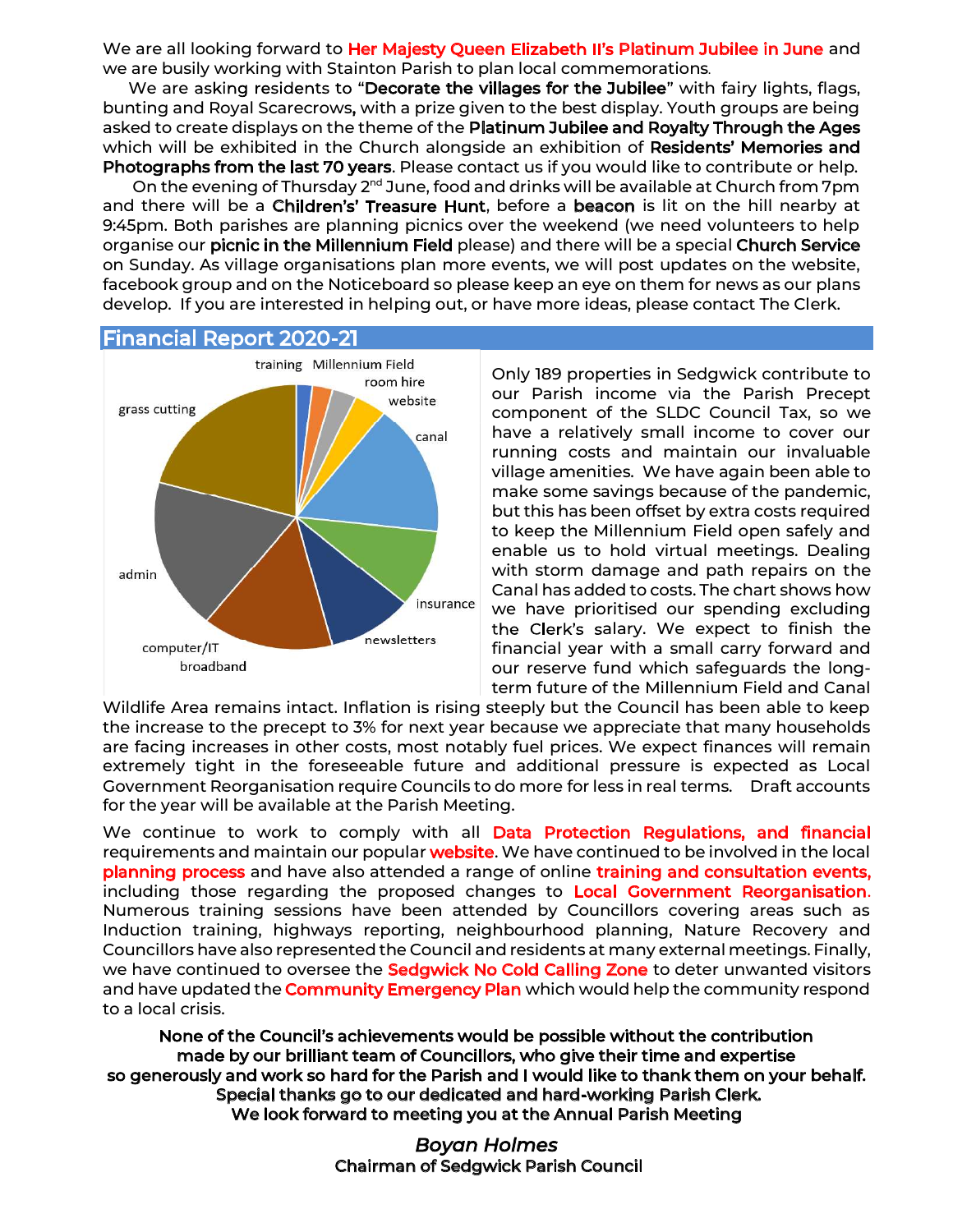We are all looking forward to Her Majesty Queen Elizabeth II's Platinum Jubilee in June and we are busily working with Stainton Parish to plan local commemorations.

We are asking residents to "Decorate the villages for the Jubilee" with fairy lights, flags, bunting and Royal Scarecrows, with a prize given to the best display. Youth groups are being asked to create displays on the theme of the Platinum Jubilee and Royalty Through the Ages which will be exhibited in the Church alongside an exhibition of Residents' Memories and Photographs from the last 70 years. Please contact us if you would like to contribute or help.

On the evening of Thursday 2<sup>nd</sup> June, food and drinks will be available at Church from 7pm and there will be a Children's' Treasure Hunt, before a beacon is lit on the hill nearby at 9:45pm. Both parishes are planning picnics over the weekend (we need volunteers to help organise our picnic in the Millennium Field please) and there will be a special Church Service on Sunday. As village organisations plan more events, we will post updates on the website, facebook group and on the Noticeboard so please keep an eye on them for news as our plans develop. If you are interested in helping out, or have more ideas, please contact The Clerk.<br>Financial Report 2020-21



Only 189 properties in Sedgwick contribute to our Parish income via the Parish Precept component of the SLDC Council Tax, so we have a relatively small income to cover our running costs and maintain our invaluable village amenities. We have again been able to make some savings because of the pandemic, but this has been offset by extra costs required to keep the Millennium Field open safely and enable us to hold virtual meetings. Dealing  $\frac{1}{\pi}$  and  $\frac{1}{\pi}$  with storm damage and path repairs on the **Room his added to costs. The chart shows how construction of the Chart Shows how canal has added to costs. The chart shows how results and the Room history of the Room history of the Room history of the Room history of th** we have prioritised our spending excluding the Clerk's salary. We expect to finish the The mewsletters financial year with a small carry forward and computer/IT our reserve fund which safeguards the longterm future of the Millennium Field and Canal

Wildlife Area remains intact. Inflation is rising steeply but the Council has been able to keep the increase to the precept to 3% for next year because we appreciate that many households are facing increases in other costs, most notably fuel prices. We expect finances will remain extremely tight in the foreseeable future and additional pressure is expected as Local Government Reorganisation require Councils to do more for less in real terms. Draft accounts for the year will be available at the Parish Meeting.

We continue to work to comply with all **Data Protection Requiations, and financial** requirements and maintain our popular website. We have continued to be involved in the local planning process and have also attended a range of online training and consultation events, including those regarding the proposed changes to Local Government Reorganisation.<br>Numerous training sessions have been attended by Councillors covering areas such as Induction training, highways reporting, neighbourhood planning, Nature Recovery and Councillors have also represented the Council and residents at many external meetings. Finally, we have continued to oversee the **Sedgwick No Cold Calling Zone** to deter unwanted visitors and have updated the **Community Emergency Plan** which would help the community respond to a local crisis.

None of the Council's achievements would be possible without the contribution made by our brilliant team of Councillors, who give their time and expertise<br>so generously and work so hard for the Parish and I would like to thank them on your behalf.<br>Special thanks go to our dedicated and hard-working

> Boyan Holmes Chairman of Sedgwick Parish Council